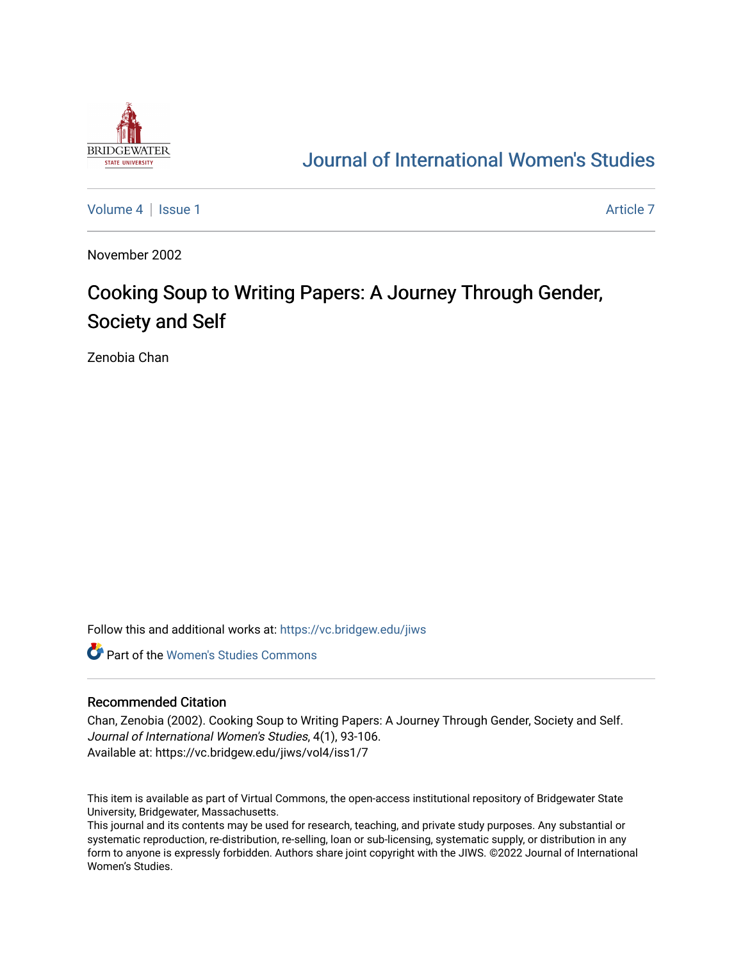

# [Journal of International Women's Studies](https://vc.bridgew.edu/jiws)

[Volume 4](https://vc.bridgew.edu/jiws/vol4) | [Issue 1](https://vc.bridgew.edu/jiws/vol4/iss1) Article 7

November 2002

# Cooking Soup to Writing Papers: A Journey Through Gender, Society and Self

Zenobia Chan

Follow this and additional works at: [https://vc.bridgew.edu/jiws](https://vc.bridgew.edu/jiws?utm_source=vc.bridgew.edu%2Fjiws%2Fvol4%2Fiss1%2F7&utm_medium=PDF&utm_campaign=PDFCoverPages)

**C** Part of the Women's Studies Commons

#### Recommended Citation

Chan, Zenobia (2002). Cooking Soup to Writing Papers: A Journey Through Gender, Society and Self. Journal of International Women's Studies, 4(1), 93-106. Available at: https://vc.bridgew.edu/jiws/vol4/iss1/7

This item is available as part of Virtual Commons, the open-access institutional repository of Bridgewater State University, Bridgewater, Massachusetts.

This journal and its contents may be used for research, teaching, and private study purposes. Any substantial or systematic reproduction, re-distribution, re-selling, loan or sub-licensing, systematic supply, or distribution in any form to anyone is expressly forbidden. Authors share joint copyright with the JIWS. ©2022 Journal of International Women's Studies.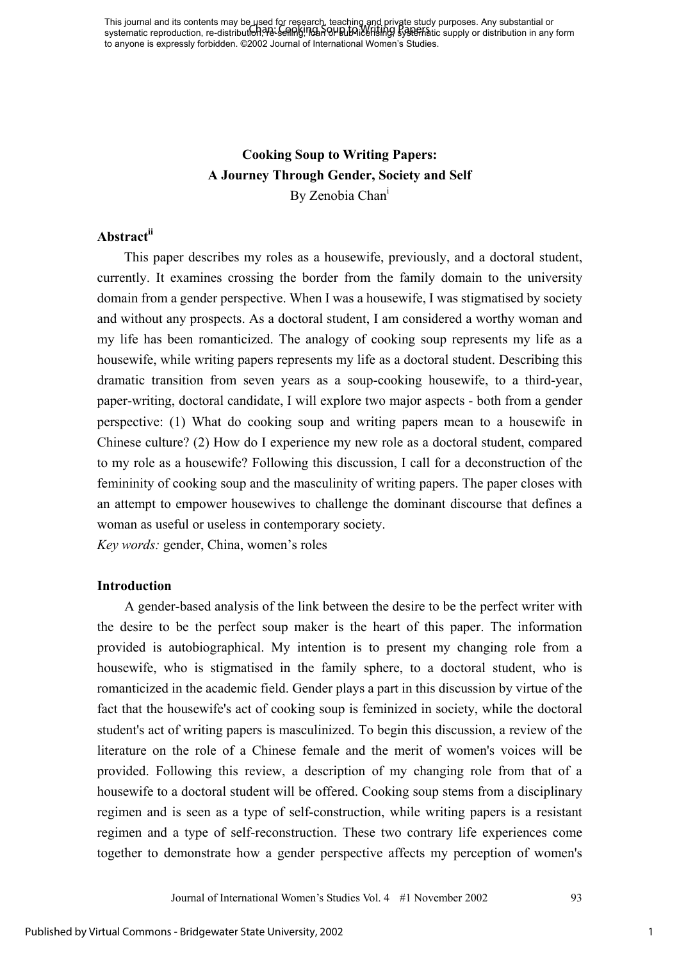This journal and its contents may be used for research, teaching and private study purposes. Any substantial or This journal and its concents may be fiscal or research, leading only provide study parposes. Any substantial or<br>systematic reproduction, re-distribution, the selling, non-our and the literal paper study benefits to supply to anyone is expressly forbidden. ©2002 Journal of International Women's Studies.

# **Cooking Soup to Writing Papers: A Journey Through Gender, Society and Self**  By Zenobia Chan<sup>1</sup>

# **Abstractii**

This paper describes my roles as a housewife, previously, and a doctoral student, currently. It examines crossing the border from the family domain to the university domain from a gender perspective. When I was a housewife, I was stigmatised by society and without any prospects. As a doctoral student, I am considered a worthy woman and my life has been romanticized. The analogy of cooking soup represents my life as a housewife, while writing papers represents my life as a doctoral student. Describing this dramatic transition from seven years as a soup-cooking housewife, to a third-year, paper-writing, doctoral candidate, I will explore two major aspects - both from a gender perspective: (1) What do cooking soup and writing papers mean to a housewife in Chinese culture? (2) How do I experience my new role as a doctoral student, compared to my role as a housewife? Following this discussion, I call for a deconstruction of the femininity of cooking soup and the masculinity of writing papers. The paper closes with an attempt to empower housewives to challenge the dominant discourse that defines a woman as useful or useless in contemporary society.

*Key words:* gender, China, women's roles

### **Introduction**

A gender-based analysis of the link between the desire to be the perfect writer with the desire to be the perfect soup maker is the heart of this paper. The information provided is autobiographical. My intention is to present my changing role from a housewife, who is stigmatised in the family sphere, to a doctoral student, who is romanticized in the academic field. Gender plays a part in this discussion by virtue of the fact that the housewife's act of cooking soup is feminized in society, while the doctoral student's act of writing papers is masculinized. To begin this discussion, a review of the literature on the role of a Chinese female and the merit of women's voices will be provided. Following this review, a description of my changing role from that of a housewife to a doctoral student will be offered. Cooking soup stems from a disciplinary regimen and is seen as a type of self-construction, while writing papers is a resistant regimen and a type of self-reconstruction. These two contrary life experiences come together to demonstrate how a gender perspective affects my perception of women's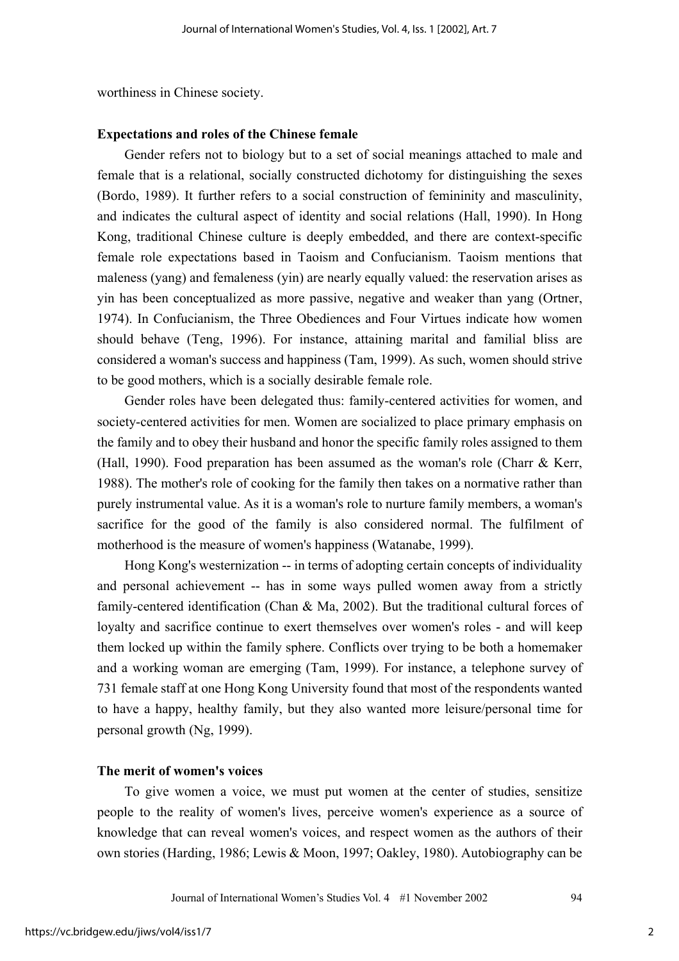worthiness in Chinese society.

#### **Expectations and roles of the Chinese female**

Gender refers not to biology but to a set of social meanings attached to male and female that is a relational, socially constructed dichotomy for distinguishing the sexes (Bordo, 1989). It further refers to a social construction of femininity and masculinity, and indicates the cultural aspect of identity and social relations (Hall, 1990). In Hong Kong, traditional Chinese culture is deeply embedded, and there are context-specific female role expectations based in Taoism and Confucianism. Taoism mentions that maleness (yang) and femaleness (yin) are nearly equally valued: the reservation arises as yin has been conceptualized as more passive, negative and weaker than yang (Ortner, 1974). In Confucianism, the Three Obediences and Four Virtues indicate how women should behave (Teng, 1996). For instance, attaining marital and familial bliss are considered a woman's success and happiness (Tam, 1999). As such, women should strive to be good mothers, which is a socially desirable female role.

Gender roles have been delegated thus: family-centered activities for women, and society-centered activities for men. Women are socialized to place primary emphasis on the family and to obey their husband and honor the specific family roles assigned to them (Hall, 1990). Food preparation has been assumed as the woman's role (Charr & Kerr, 1988). The mother's role of cooking for the family then takes on a normative rather than purely instrumental value. As it is a woman's role to nurture family members, a woman's sacrifice for the good of the family is also considered normal. The fulfilment of motherhood is the measure of women's happiness (Watanabe, 1999).

Hong Kong's westernization -- in terms of adopting certain concepts of individuality and personal achievement -- has in some ways pulled women away from a strictly family-centered identification (Chan & Ma, 2002). But the traditional cultural forces of loyalty and sacrifice continue to exert themselves over women's roles - and will keep them locked up within the family sphere. Conflicts over trying to be both a homemaker and a working woman are emerging (Tam, 1999). For instance, a telephone survey of 731 female staff at one Hong Kong University found that most of the respondents wanted to have a happy, healthy family, but they also wanted more leisure/personal time for personal growth (Ng, 1999).

# **The merit of women's voices**

To give women a voice, we must put women at the center of studies, sensitize people to the reality of women's lives, perceive women's experience as a source of knowledge that can reveal women's voices, and respect women as the authors of their own stories (Harding, 1986; Lewis & Moon, 1997; Oakley, 1980). Autobiography can be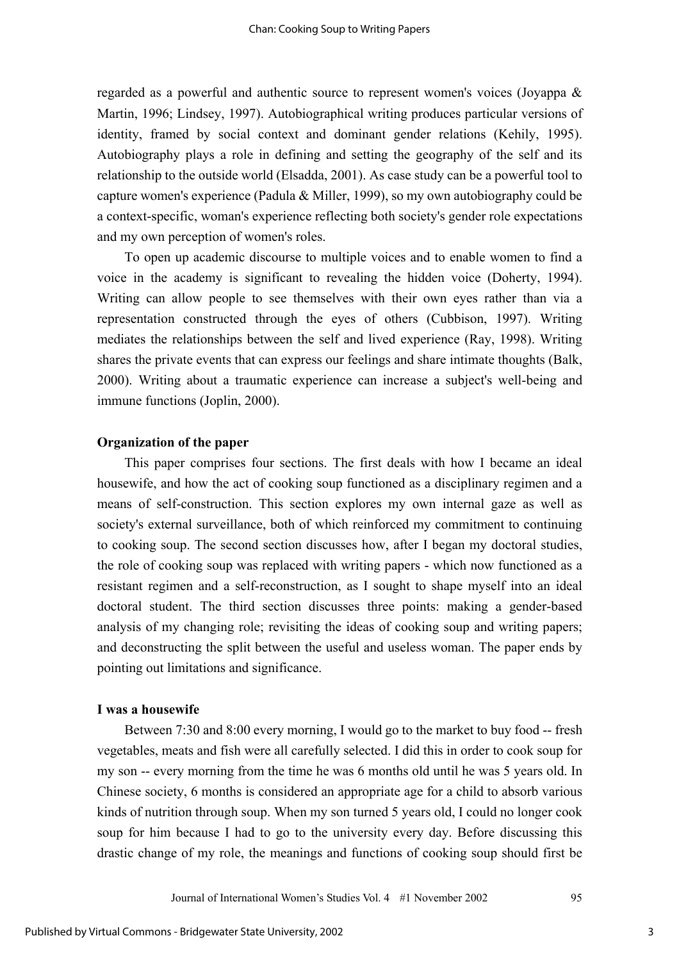regarded as a powerful and authentic source to represent women's voices (Joyappa & Martin, 1996; Lindsey, 1997). Autobiographical writing produces particular versions of identity, framed by social context and dominant gender relations (Kehily, 1995). Autobiography plays a role in defining and setting the geography of the self and its relationship to the outside world (Elsadda, 2001). As case study can be a powerful tool to capture women's experience (Padula & Miller, 1999), so my own autobiography could be a context-specific, woman's experience reflecting both society's gender role expectations and my own perception of women's roles.

To open up academic discourse to multiple voices and to enable women to find a voice in the academy is significant to revealing the hidden voice (Doherty, 1994). Writing can allow people to see themselves with their own eyes rather than via a representation constructed through the eyes of others (Cubbison, 1997). Writing mediates the relationships between the self and lived experience (Ray, 1998). Writing shares the private events that can express our feelings and share intimate thoughts (Balk, 2000). Writing about a traumatic experience can increase a subject's well-being and immune functions (Joplin, 2000).

#### **Organization of the paper**

This paper comprises four sections. The first deals with how I became an ideal housewife, and how the act of cooking soup functioned as a disciplinary regimen and a means of self-construction. This section explores my own internal gaze as well as society's external surveillance, both of which reinforced my commitment to continuing to cooking soup. The second section discusses how, after I began my doctoral studies, the role of cooking soup was replaced with writing papers - which now functioned as a resistant regimen and a self-reconstruction, as I sought to shape myself into an ideal doctoral student. The third section discusses three points: making a gender-based analysis of my changing role; revisiting the ideas of cooking soup and writing papers; and deconstructing the split between the useful and useless woman. The paper ends by pointing out limitations and significance.

#### **I was a housewife**

Between 7:30 and 8:00 every morning, I would go to the market to buy food -- fresh vegetables, meats and fish were all carefully selected. I did this in order to cook soup for my son -- every morning from the time he was 6 months old until he was 5 years old. In Chinese society, 6 months is considered an appropriate age for a child to absorb various kinds of nutrition through soup. When my son turned 5 years old, I could no longer cook soup for him because I had to go to the university every day. Before discussing this drastic change of my role, the meanings and functions of cooking soup should first be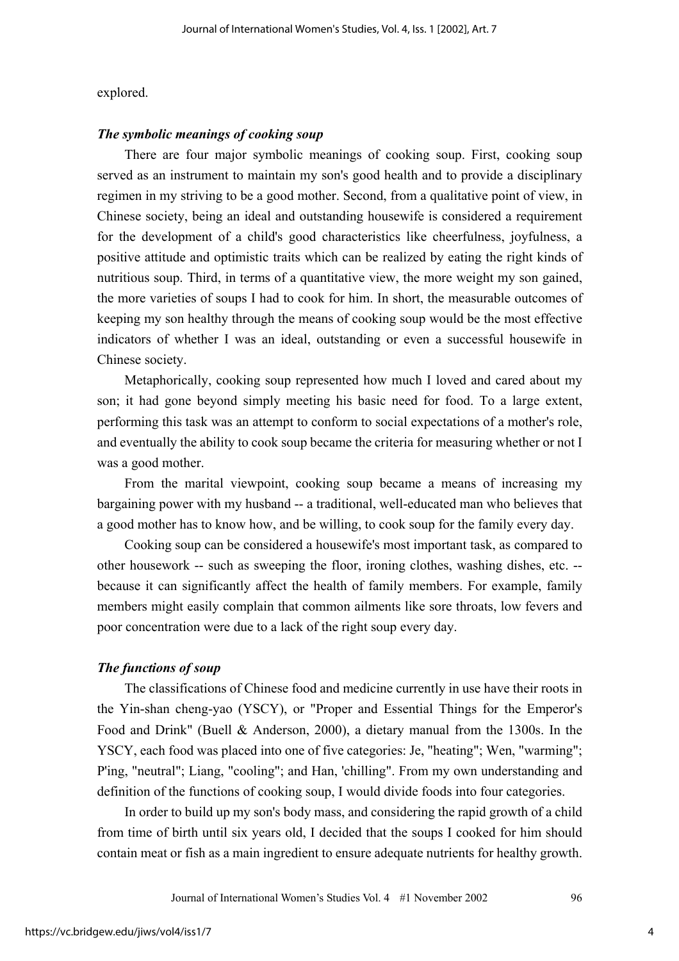#### explored.

### *The symbolic meanings of cooking soup*

There are four major symbolic meanings of cooking soup. First, cooking soup served as an instrument to maintain my son's good health and to provide a disciplinary regimen in my striving to be a good mother. Second, from a qualitative point of view, in Chinese society, being an ideal and outstanding housewife is considered a requirement for the development of a child's good characteristics like cheerfulness, joyfulness, a positive attitude and optimistic traits which can be realized by eating the right kinds of nutritious soup. Third, in terms of a quantitative view, the more weight my son gained, the more varieties of soups I had to cook for him. In short, the measurable outcomes of keeping my son healthy through the means of cooking soup would be the most effective indicators of whether I was an ideal, outstanding or even a successful housewife in Chinese society.

Metaphorically, cooking soup represented how much I loved and cared about my son; it had gone beyond simply meeting his basic need for food. To a large extent, performing this task was an attempt to conform to social expectations of a mother's role, and eventually the ability to cook soup became the criteria for measuring whether or not I was a good mother.

From the marital viewpoint, cooking soup became a means of increasing my bargaining power with my husband -- a traditional, well-educated man who believes that a good mother has to know how, and be willing, to cook soup for the family every day.

Cooking soup can be considered a housewife's most important task, as compared to other housework -- such as sweeping the floor, ironing clothes, washing dishes, etc. - because it can significantly affect the health of family members. For example, family members might easily complain that common ailments like sore throats, low fevers and poor concentration were due to a lack of the right soup every day.

# *The functions of soup*

The classifications of Chinese food and medicine currently in use have their roots in the Yin-shan cheng-yao (YSCY), or "Proper and Essential Things for the Emperor's Food and Drink" (Buell & Anderson, 2000), a dietary manual from the 1300s. In the YSCY, each food was placed into one of five categories: Je, "heating"; Wen, "warming"; P'ing, "neutral"; Liang, "cooling"; and Han, 'chilling". From my own understanding and definition of the functions of cooking soup, I would divide foods into four categories.

In order to build up my son's body mass, and considering the rapid growth of a child from time of birth until six years old, I decided that the soups I cooked for him should contain meat or fish as a main ingredient to ensure adequate nutrients for healthy growth.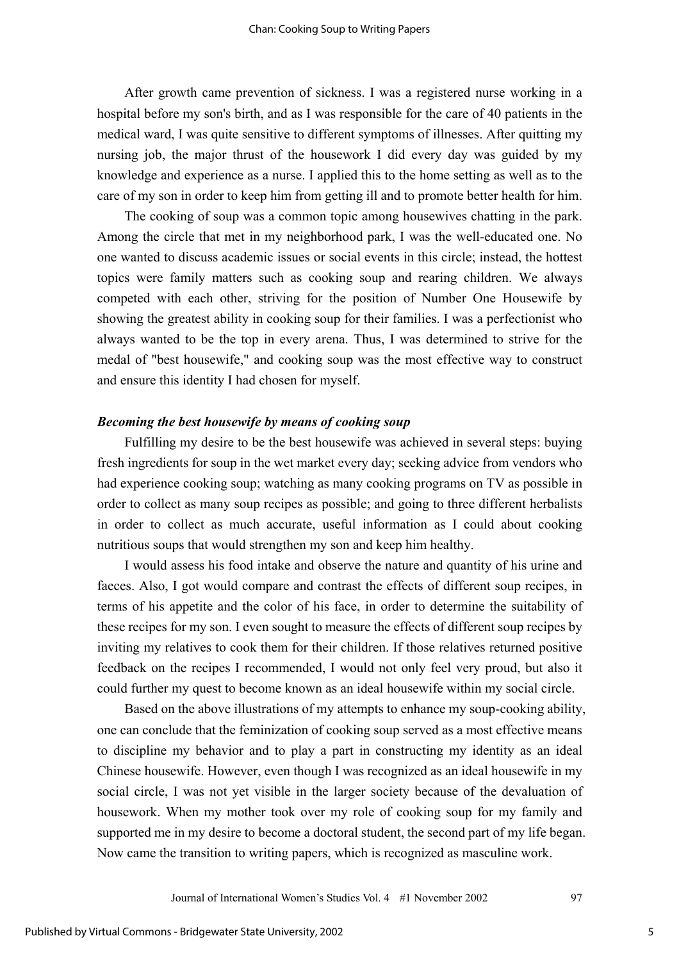After growth came prevention of sickness. I was a registered nurse working in a hospital before my son's birth, and as I was responsible for the care of 40 patients in the medical ward, I was quite sensitive to different symptoms of illnesses. After quitting my nursing job, the major thrust of the housework I did every day was guided by my knowledge and experience as a nurse. I applied this to the home setting as well as to the care of my son in order to keep him from getting ill and to promote better health for him.

The cooking of soup was a common topic among housewives chatting in the park. Among the circle that met in my neighborhood park, I was the well-educated one. No one wanted to discuss academic issues or social events in this circle; instead, the hottest topics were family matters such as cooking soup and rearing children. We always competed with each other, striving for the position of Number One Housewife by showing the greatest ability in cooking soup for their families. I was a perfectionist who always wanted to be the top in every arena. Thus, I was determined to strive for the medal of "best housewife," and cooking soup was the most effective way to construct and ensure this identity I had chosen for myself.

# *Becoming the best housewife by means of cooking soup*

Fulfilling my desire to be the best housewife was achieved in several steps: buying fresh ingredients for soup in the wet market every day; seeking advice from vendors who had experience cooking soup; watching as many cooking programs on TV as possible in order to collect as many soup recipes as possible; and going to three different herbalists in order to collect as much accurate, useful information as I could about cooking nutritious soups that would strengthen my son and keep him healthy.

I would assess his food intake and observe the nature and quantity of his urine and faeces. Also, I got would compare and contrast the effects of different soup recipes, in terms of his appetite and the color of his face, in order to determine the suitability of these recipes for my son. I even sought to measure the effects of different soup recipes by inviting my relatives to cook them for their children. If those relatives returned positive feedback on the recipes I recommended, I would not only feel very proud, but also it could further my quest to become known as an ideal housewife within my social circle.

Based on the above illustrations of my attempts to enhance my soup-cooking ability, one can conclude that the feminization of cooking soup served as a most effective means to discipline my behavior and to play a part in constructing my identity as an ideal Chinese housewife. However, even though I was recognized as an ideal housewife in my social circle, I was not yet visible in the larger society because of the devaluation of housework. When my mother took over my role of cooking soup for my family and supported me in my desire to become a doctoral student, the second part of my life began. Now came the transition to writing papers, which is recognized as masculine work.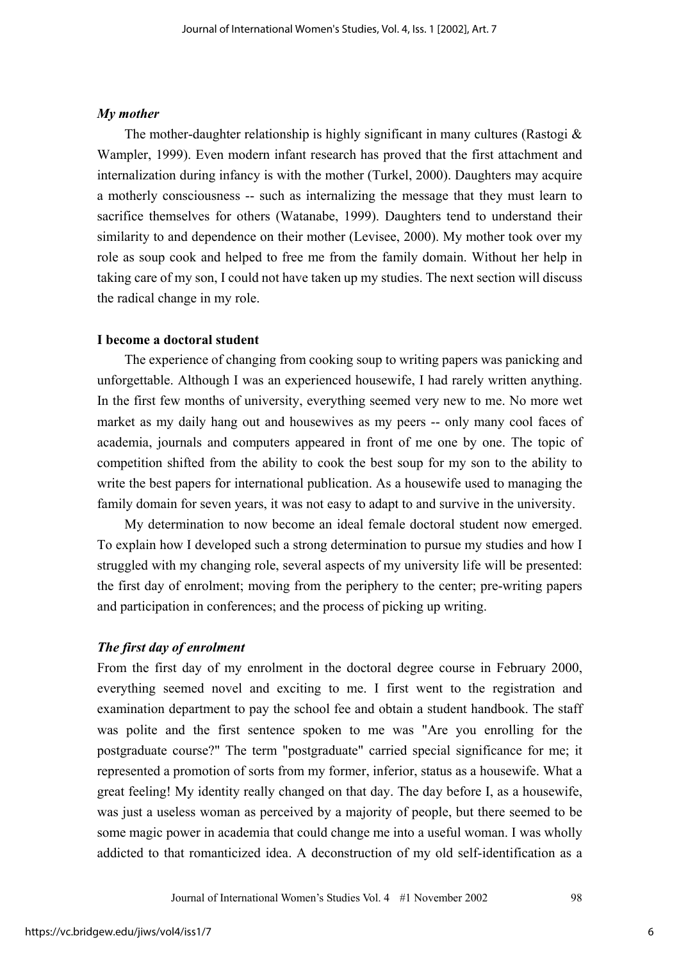#### *My mother*

The mother-daughter relationship is highly significant in many cultures (Rastogi  $\&$ Wampler, 1999). Even modern infant research has proved that the first attachment and internalization during infancy is with the mother (Turkel, 2000). Daughters may acquire a motherly consciousness -- such as internalizing the message that they must learn to sacrifice themselves for others (Watanabe, 1999). Daughters tend to understand their similarity to and dependence on their mother (Levisee, 2000). My mother took over my role as soup cook and helped to free me from the family domain. Without her help in taking care of my son, I could not have taken up my studies. The next section will discuss the radical change in my role.

### **I become a doctoral student**

The experience of changing from cooking soup to writing papers was panicking and unforgettable. Although I was an experienced housewife, I had rarely written anything. In the first few months of university, everything seemed very new to me. No more wet market as my daily hang out and housewives as my peers -- only many cool faces of academia, journals and computers appeared in front of me one by one. The topic of competition shifted from the ability to cook the best soup for my son to the ability to write the best papers for international publication. As a housewife used to managing the family domain for seven years, it was not easy to adapt to and survive in the university.

My determination to now become an ideal female doctoral student now emerged. To explain how I developed such a strong determination to pursue my studies and how I struggled with my changing role, several aspects of my university life will be presented: the first day of enrolment; moving from the periphery to the center; pre-writing papers and participation in conferences; and the process of picking up writing.

### *The first day of enrolment*

From the first day of my enrolment in the doctoral degree course in February 2000, everything seemed novel and exciting to me. I first went to the registration and examination department to pay the school fee and obtain a student handbook. The staff was polite and the first sentence spoken to me was "Are you enrolling for the postgraduate course?" The term "postgraduate" carried special significance for me; it represented a promotion of sorts from my former, inferior, status as a housewife. What a great feeling! My identity really changed on that day. The day before I, as a housewife, was just a useless woman as perceived by a majority of people, but there seemed to be some magic power in academia that could change me into a useful woman. I was wholly addicted to that romanticized idea. A deconstruction of my old self-identification as a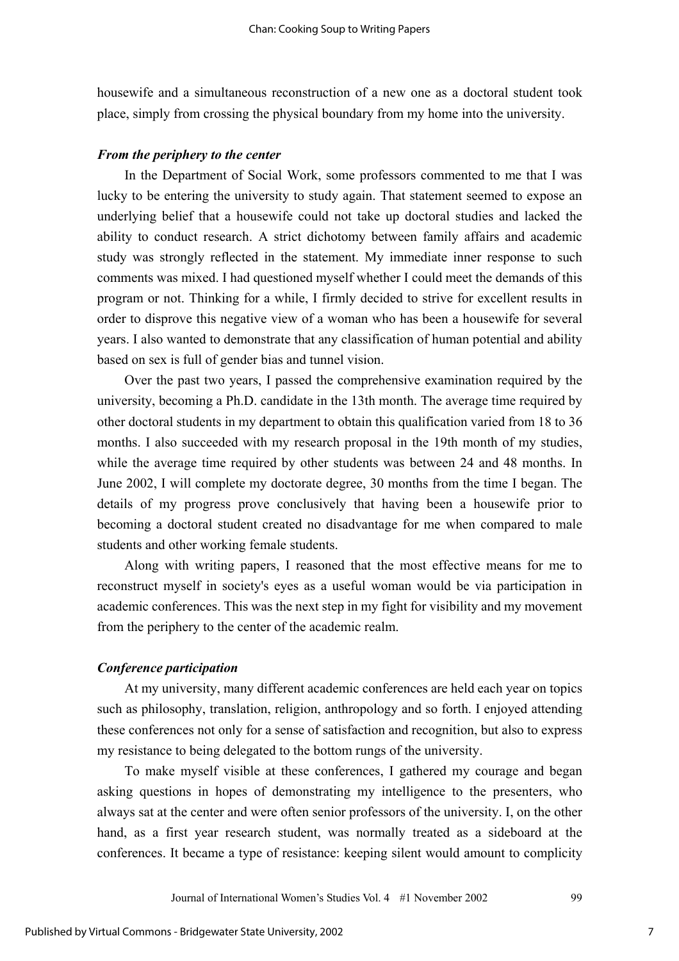housewife and a simultaneous reconstruction of a new one as a doctoral student took place, simply from crossing the physical boundary from my home into the university.

#### *From the periphery to the center*

In the Department of Social Work, some professors commented to me that I was lucky to be entering the university to study again. That statement seemed to expose an underlying belief that a housewife could not take up doctoral studies and lacked the ability to conduct research. A strict dichotomy between family affairs and academic study was strongly reflected in the statement. My immediate inner response to such comments was mixed. I had questioned myself whether I could meet the demands of this program or not. Thinking for a while, I firmly decided to strive for excellent results in order to disprove this negative view of a woman who has been a housewife for several years. I also wanted to demonstrate that any classification of human potential and ability based on sex is full of gender bias and tunnel vision.

Over the past two years, I passed the comprehensive examination required by the university, becoming a Ph.D. candidate in the 13th month. The average time required by other doctoral students in my department to obtain this qualification varied from 18 to 36 months. I also succeeded with my research proposal in the 19th month of my studies, while the average time required by other students was between 24 and 48 months. In June 2002, I will complete my doctorate degree, 30 months from the time I began. The details of my progress prove conclusively that having been a housewife prior to becoming a doctoral student created no disadvantage for me when compared to male students and other working female students.

Along with writing papers, I reasoned that the most effective means for me to reconstruct myself in society's eyes as a useful woman would be via participation in academic conferences. This was the next step in my fight for visibility and my movement from the periphery to the center of the academic realm.

# *Conference participation*

At my university, many different academic conferences are held each year on topics such as philosophy, translation, religion, anthropology and so forth. I enjoyed attending these conferences not only for a sense of satisfaction and recognition, but also to express my resistance to being delegated to the bottom rungs of the university.

To make myself visible at these conferences, I gathered my courage and began asking questions in hopes of demonstrating my intelligence to the presenters, who always sat at the center and were often senior professors of the university. I, on the other hand, as a first year research student, was normally treated as a sideboard at the conferences. It became a type of resistance: keeping silent would amount to complicity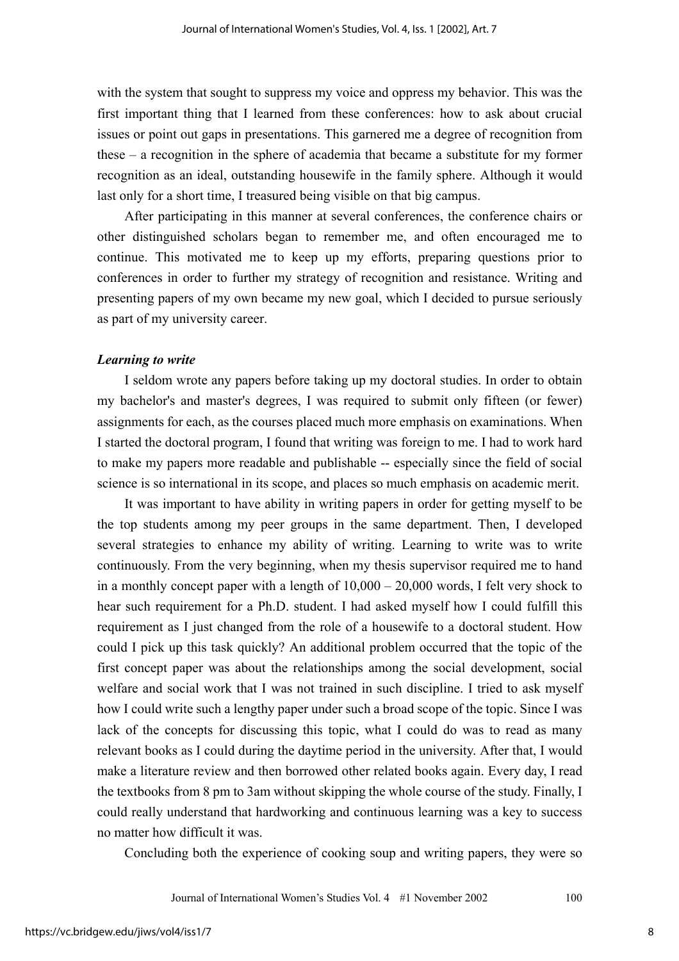with the system that sought to suppress my voice and oppress my behavior. This was the first important thing that I learned from these conferences: how to ask about crucial issues or point out gaps in presentations. This garnered me a degree of recognition from these – a recognition in the sphere of academia that became a substitute for my former recognition as an ideal, outstanding housewife in the family sphere. Although it would last only for a short time, I treasured being visible on that big campus.

After participating in this manner at several conferences, the conference chairs or other distinguished scholars began to remember me, and often encouraged me to continue. This motivated me to keep up my efforts, preparing questions prior to conferences in order to further my strategy of recognition and resistance. Writing and presenting papers of my own became my new goal, which I decided to pursue seriously as part of my university career.

#### *Learning to write*

I seldom wrote any papers before taking up my doctoral studies. In order to obtain my bachelor's and master's degrees, I was required to submit only fifteen (or fewer) assignments for each, as the courses placed much more emphasis on examinations. When I started the doctoral program, I found that writing was foreign to me. I had to work hard to make my papers more readable and publishable -- especially since the field of social science is so international in its scope, and places so much emphasis on academic merit.

It was important to have ability in writing papers in order for getting myself to be the top students among my peer groups in the same department. Then, I developed several strategies to enhance my ability of writing. Learning to write was to write continuously. From the very beginning, when my thesis supervisor required me to hand in a monthly concept paper with a length of  $10,000 - 20,000$  words, I felt very shock to hear such requirement for a Ph.D. student. I had asked myself how I could fulfill this requirement as I just changed from the role of a housewife to a doctoral student. How could I pick up this task quickly? An additional problem occurred that the topic of the first concept paper was about the relationships among the social development, social welfare and social work that I was not trained in such discipline. I tried to ask myself how I could write such a lengthy paper under such a broad scope of the topic. Since I was lack of the concepts for discussing this topic, what I could do was to read as many relevant books as I could during the daytime period in the university. After that, I would make a literature review and then borrowed other related books again. Every day, I read the textbooks from 8 pm to 3am without skipping the whole course of the study. Finally, I could really understand that hardworking and continuous learning was a key to success no matter how difficult it was.

Concluding both the experience of cooking soup and writing papers, they were so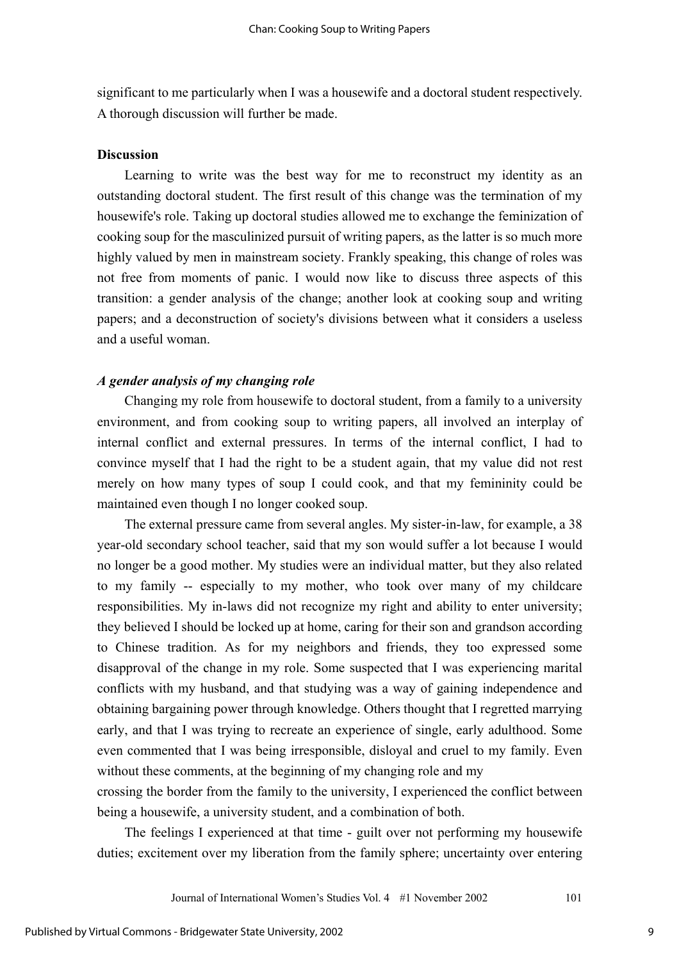significant to me particularly when I was a housewife and a doctoral student respectively. A thorough discussion will further be made.

#### **Discussion**

Learning to write was the best way for me to reconstruct my identity as an outstanding doctoral student. The first result of this change was the termination of my housewife's role. Taking up doctoral studies allowed me to exchange the feminization of cooking soup for the masculinized pursuit of writing papers, as the latter is so much more highly valued by men in mainstream society. Frankly speaking, this change of roles was not free from moments of panic. I would now like to discuss three aspects of this transition: a gender analysis of the change; another look at cooking soup and writing papers; and a deconstruction of society's divisions between what it considers a useless and a useful woman.

# *A gender analysis of my changing role*

Changing my role from housewife to doctoral student, from a family to a university environment, and from cooking soup to writing papers, all involved an interplay of internal conflict and external pressures. In terms of the internal conflict, I had to convince myself that I had the right to be a student again, that my value did not rest merely on how many types of soup I could cook, and that my femininity could be maintained even though I no longer cooked soup.

The external pressure came from several angles. My sister-in-law, for example, a 38 year-old secondary school teacher, said that my son would suffer a lot because I would no longer be a good mother. My studies were an individual matter, but they also related to my family -- especially to my mother, who took over many of my childcare responsibilities. My in-laws did not recognize my right and ability to enter university; they believed I should be locked up at home, caring for their son and grandson according to Chinese tradition. As for my neighbors and friends, they too expressed some disapproval of the change in my role. Some suspected that I was experiencing marital conflicts with my husband, and that studying was a way of gaining independence and obtaining bargaining power through knowledge. Others thought that I regretted marrying early, and that I was trying to recreate an experience of single, early adulthood. Some even commented that I was being irresponsible, disloyal and cruel to my family. Even without these comments, at the beginning of my changing role and my

crossing the border from the family to the university, I experienced the conflict between being a housewife, a university student, and a combination of both.

The feelings I experienced at that time - guilt over not performing my housewife duties; excitement over my liberation from the family sphere; uncertainty over entering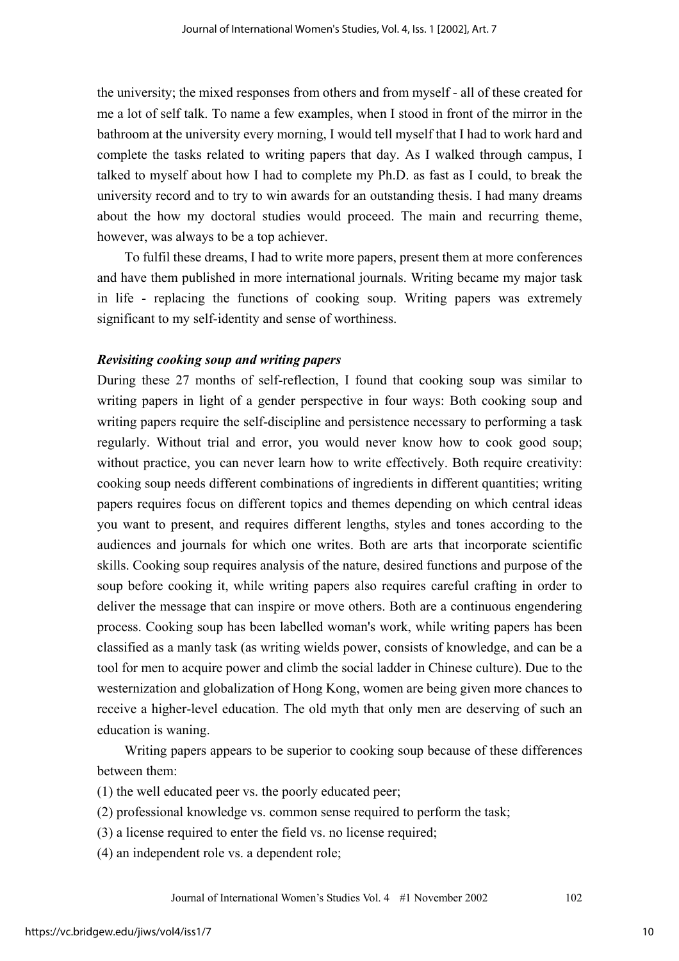the university; the mixed responses from others and from myself - all of these created for me a lot of self talk. To name a few examples, when I stood in front of the mirror in the bathroom at the university every morning, I would tell myself that I had to work hard and complete the tasks related to writing papers that day. As I walked through campus, I talked to myself about how I had to complete my Ph.D. as fast as I could, to break the university record and to try to win awards for an outstanding thesis. I had many dreams about the how my doctoral studies would proceed. The main and recurring theme, however, was always to be a top achiever.

To fulfil these dreams, I had to write more papers, present them at more conferences and have them published in more international journals. Writing became my major task in life - replacing the functions of cooking soup. Writing papers was extremely significant to my self-identity and sense of worthiness.

#### *Revisiting cooking soup and writing papers*

During these 27 months of self-reflection, I found that cooking soup was similar to writing papers in light of a gender perspective in four ways: Both cooking soup and writing papers require the self-discipline and persistence necessary to performing a task regularly. Without trial and error, you would never know how to cook good soup; without practice, you can never learn how to write effectively. Both require creativity: cooking soup needs different combinations of ingredients in different quantities; writing papers requires focus on different topics and themes depending on which central ideas you want to present, and requires different lengths, styles and tones according to the audiences and journals for which one writes. Both are arts that incorporate scientific skills. Cooking soup requires analysis of the nature, desired functions and purpose of the soup before cooking it, while writing papers also requires careful crafting in order to deliver the message that can inspire or move others. Both are a continuous engendering process. Cooking soup has been labelled woman's work, while writing papers has been classified as a manly task (as writing wields power, consists of knowledge, and can be a tool for men to acquire power and climb the social ladder in Chinese culture). Due to the westernization and globalization of Hong Kong, women are being given more chances to receive a higher-level education. The old myth that only men are deserving of such an education is waning.

Writing papers appears to be superior to cooking soup because of these differences between them:

(1) the well educated peer vs. the poorly educated peer;

(2) professional knowledge vs. common sense required to perform the task;

(3) a license required to enter the field vs. no license required;

(4) an independent role vs. a dependent role;

Journal of International Women's Studies Vol. 4 #1 November 2002 102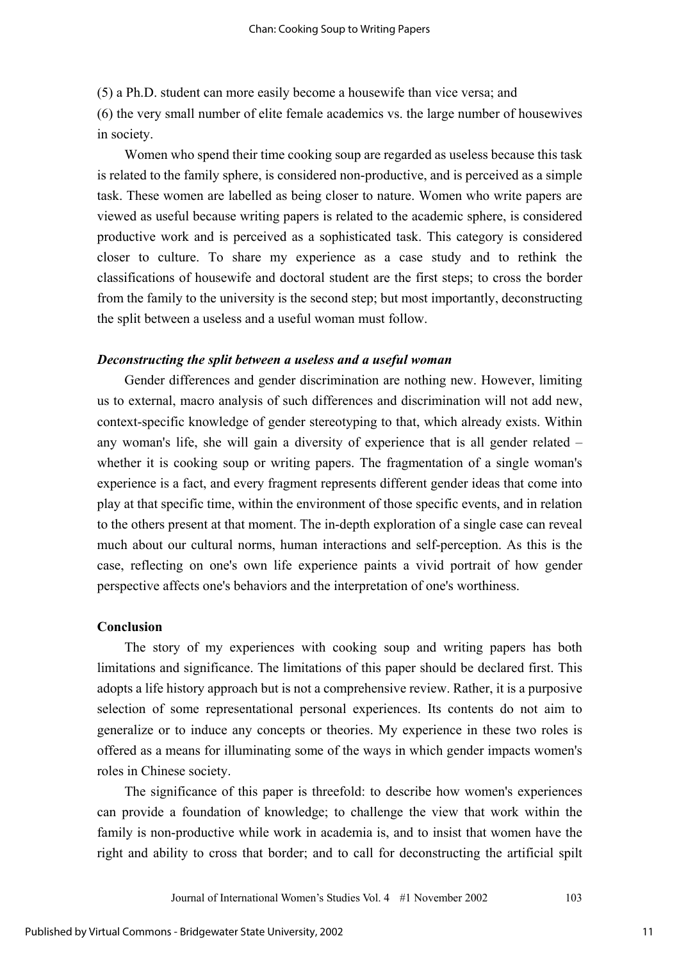(5) a Ph.D. student can more easily become a housewife than vice versa; and

(6) the very small number of elite female academics vs. the large number of housewives in society.

Women who spend their time cooking soup are regarded as useless because this task is related to the family sphere, is considered non-productive, and is perceived as a simple task. These women are labelled as being closer to nature. Women who write papers are viewed as useful because writing papers is related to the academic sphere, is considered productive work and is perceived as a sophisticated task. This category is considered closer to culture. To share my experience as a case study and to rethink the classifications of housewife and doctoral student are the first steps; to cross the border from the family to the university is the second step; but most importantly, deconstructing the split between a useless and a useful woman must follow.

#### *Deconstructing the split between a useless and a useful woman*

Gender differences and gender discrimination are nothing new. However, limiting us to external, macro analysis of such differences and discrimination will not add new, context-specific knowledge of gender stereotyping to that, which already exists. Within any woman's life, she will gain a diversity of experience that is all gender related – whether it is cooking soup or writing papers. The fragmentation of a single woman's experience is a fact, and every fragment represents different gender ideas that come into play at that specific time, within the environment of those specific events, and in relation to the others present at that moment. The in-depth exploration of a single case can reveal much about our cultural norms, human interactions and self-perception. As this is the case, reflecting on one's own life experience paints a vivid portrait of how gender perspective affects one's behaviors and the interpretation of one's worthiness.

#### **Conclusion**

The story of my experiences with cooking soup and writing papers has both limitations and significance. The limitations of this paper should be declared first. This adopts a life history approach but is not a comprehensive review. Rather, it is a purposive selection of some representational personal experiences. Its contents do not aim to generalize or to induce any concepts or theories. My experience in these two roles is offered as a means for illuminating some of the ways in which gender impacts women's roles in Chinese society.

The significance of this paper is threefold: to describe how women's experiences can provide a foundation of knowledge; to challenge the view that work within the family is non-productive while work in academia is, and to insist that women have the right and ability to cross that border; and to call for deconstructing the artificial spilt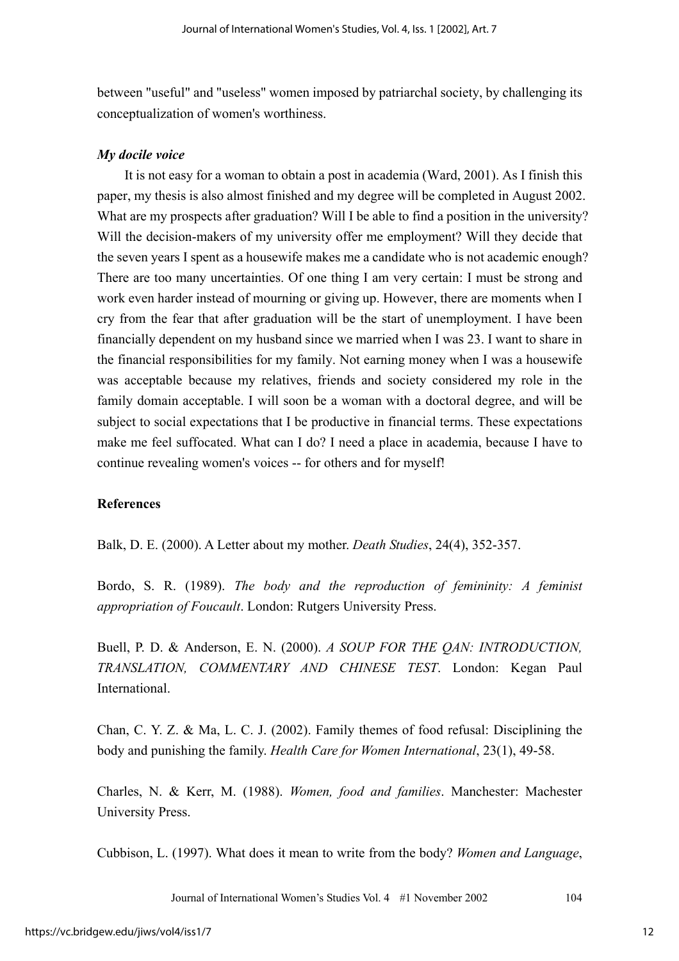between "useful" and "useless" women imposed by patriarchal society, by challenging its conceptualization of women's worthiness.

# *My docile voice*

It is not easy for a woman to obtain a post in academia (Ward, 2001). As I finish this paper, my thesis is also almost finished and my degree will be completed in August 2002. What are my prospects after graduation? Will I be able to find a position in the university? Will the decision-makers of my university offer me employment? Will they decide that the seven years I spent as a housewife makes me a candidate who is not academic enough? There are too many uncertainties. Of one thing I am very certain: I must be strong and work even harder instead of mourning or giving up. However, there are moments when I cry from the fear that after graduation will be the start of unemployment. I have been financially dependent on my husband since we married when I was 23. I want to share in the financial responsibilities for my family. Not earning money when I was a housewife was acceptable because my relatives, friends and society considered my role in the family domain acceptable. I will soon be a woman with a doctoral degree, and will be subject to social expectations that I be productive in financial terms. These expectations make me feel suffocated. What can I do? I need a place in academia, because I have to continue revealing women's voices -- for others and for myself!

# **References**

Balk, D. E. (2000). A Letter about my mother. *Death Studies*, 24(4), 352-357.

Bordo, S. R. (1989). *The body and the reproduction of femininity: A feminist appropriation of Foucault*. London: Rutgers University Press.

Buell, P. D. & Anderson, E. N. (2000). *A SOUP FOR THE QAN: INTRODUCTION, TRANSLATION, COMMENTARY AND CHINESE TEST*. London: Kegan Paul International.

Chan, C. Y. Z. & Ma, L. C. J. (2002). Family themes of food refusal: Disciplining the body and punishing the family. *Health Care for Women International*, 23(1), 49-58.

Charles, N. & Kerr, M. (1988). *Women, food and families*. Manchester: Machester University Press.

Cubbison, L. (1997). What does it mean to write from the body? *Women and Language*,

Journal of International Women's Studies Vol. 4 #1 November 2002 104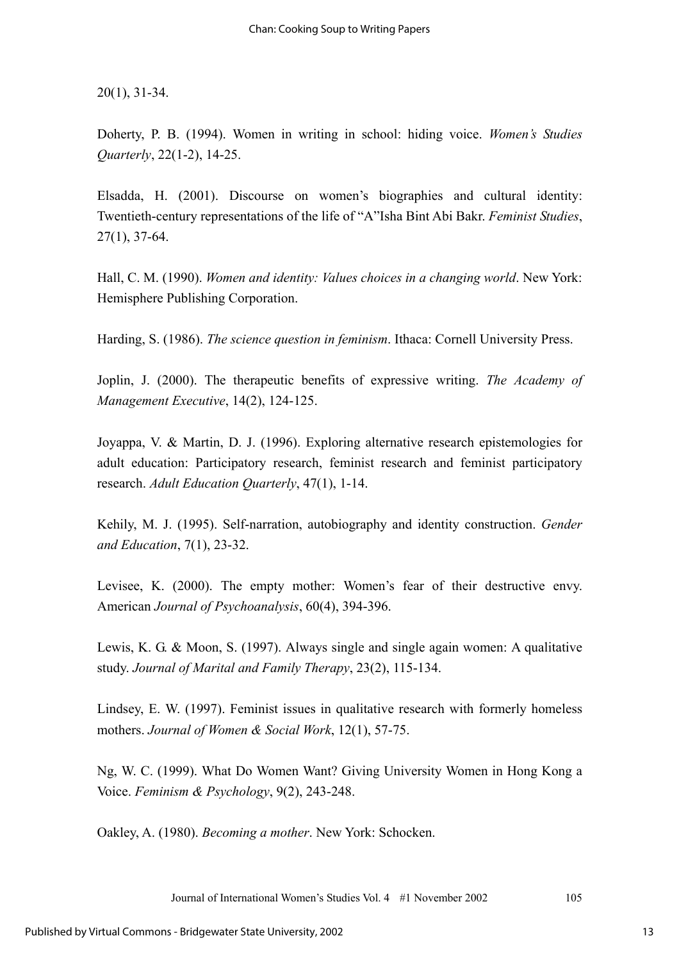20(1), 31-34.

Doherty, P. B. (1994). Women in writing in school: hiding voice. *Women's Studies Quarterly*, 22(1-2), 14-25.

Elsadda, H. (2001). Discourse on women's biographies and cultural identity: Twentieth-century representations of the life of "A"Isha Bint Abi Bakr. *Feminist Studies*, 27(1), 37-64.

Hall, C. M. (1990). *Women and identity: Values choices in a changing world*. New York: Hemisphere Publishing Corporation.

Harding, S. (1986). *The science question in feminism*. Ithaca: Cornell University Press.

Joplin, J. (2000). The therapeutic benefits of expressive writing. *The Academy of Management Executive*, 14(2), 124-125.

Joyappa, V. & Martin, D. J. (1996). Exploring alternative research epistemologies for adult education: Participatory research, feminist research and feminist participatory research. *Adult Education Quarterly*, 47(1), 1-14.

Kehily, M. J. (1995). Self-narration, autobiography and identity construction. *Gender and Education*, 7(1), 23-32.

Levisee, K. (2000). The empty mother: Women's fear of their destructive envy. American *Journal of Psychoanalysis*, 60(4), 394-396.

Lewis, K. G. & Moon, S. (1997). Always single and single again women: A qualitative study. *Journal of Marital and Family Therapy*, 23(2), 115-134.

Lindsey, E. W. (1997). Feminist issues in qualitative research with formerly homeless mothers. *Journal of Women & Social Work*, 12(1), 57-75.

Ng, W. C. (1999). What Do Women Want? Giving University Women in Hong Kong a Voice. *Feminism & Psychology*, 9(2), 243-248.

Oakley, A. (1980). *Becoming a mother*. New York: Schocken.

Journal of International Women's Studies Vol. 4 #1 November 2002 105